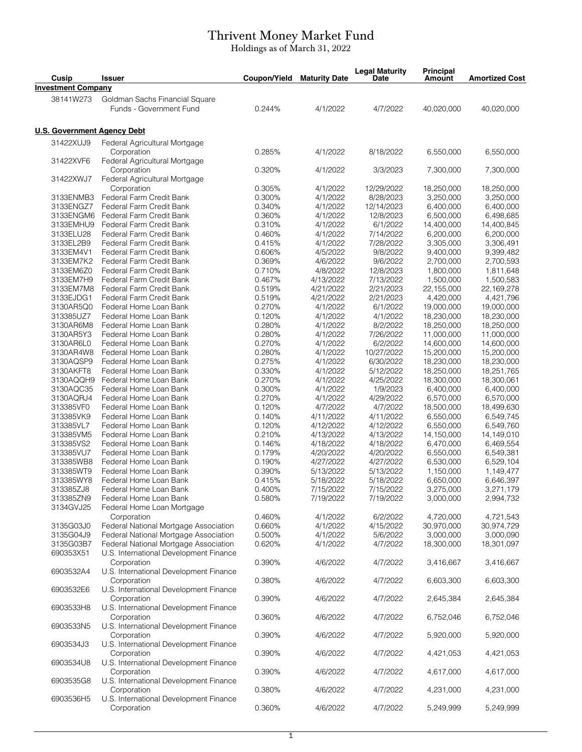## Thrivent Money Market Fund

Holdings as of March 31, 2022

| Cusip                       | <b>Issuer</b>                                         | Coupon/Yield | <b>Maturity Date</b> | <b>Legal Maturity</b><br><b>Date</b> | <b>Principal</b><br><b>Amount</b> | <b>Amortized Cost</b> |
|-----------------------------|-------------------------------------------------------|--------------|----------------------|--------------------------------------|-----------------------------------|-----------------------|
| <b>Investment Company</b>   |                                                       |              |                      |                                      |                                   |                       |
| 38141W273                   | Goldman Sachs Financial Square                        |              |                      |                                      |                                   |                       |
|                             | Funds - Government Fund                               | 0.244%       | 4/1/2022             | 4/7/2022                             | 40,020,000                        | 40,020,000            |
|                             |                                                       |              |                      |                                      |                                   |                       |
| U.S. Government Agency Debt |                                                       |              |                      |                                      |                                   |                       |
| 31422XUJ9                   | Federal Agricultural Mortgage                         |              |                      |                                      |                                   |                       |
|                             | Corporation                                           | 0.285%       | 4/1/2022             | 8/18/2022                            | 6,550,000                         | 6,550,000             |
| 31422XVF6                   | Federal Agricultural Mortgage                         |              |                      |                                      |                                   |                       |
|                             | Corporation                                           | 0.320%       | 4/1/2022             | 3/3/2023                             | 7,300,000                         | 7,300,000             |
| 31422XWJ7                   | Federal Agricultural Mortgage                         |              |                      |                                      |                                   |                       |
|                             | Corporation                                           | 0.305%       | 4/1/2022             | 12/29/2022                           | 18,250,000                        | 18,250,000            |
| 3133ENMB3                   | Federal Farm Credit Bank                              | 0.300%       | 4/1/2022             | 8/28/2023                            | 3,250,000                         | 3,250,000             |
| 3133ENGZ7                   | Federal Farm Credit Bank                              | 0.340%       | 4/1/2022             | 12/14/2023                           | 6,400,000                         | 6,400,000             |
| 3133ENGM6                   | Federal Farm Credit Bank                              | 0.360%       | 4/1/2022             | 12/8/2023                            | 6,500,000                         | 6,498,685             |
| 3133EMHU9                   | Federal Farm Credit Bank                              | 0.310%       | 4/1/2022             | 6/1/2022                             | 14,400,000                        | 14,400,845            |
| 3133ELU28                   | Federal Farm Credit Bank                              | 0.460%       | 4/1/2022             | 7/14/2022                            | 6,200,000                         | 6,200,000             |
| 3133EL2B9                   | Federal Farm Credit Bank                              | 0.415%       | 4/1/2022             | 7/28/2022                            | 3,305,000                         | 3,306,491             |
| 3133EM4V1                   | Federal Farm Credit Bank                              | 0.606%       | 4/5/2022             | 9/8/2022                             | 9,400,000                         | 9,399,482             |
| 3133EM7K2                   | Federal Farm Credit Bank                              | 0.369%       | 4/6/2022             | 9/6/2022                             | 2,700,000                         | 2,700,593             |
| 3133EM6Z0                   | Federal Farm Credit Bank                              | 0.710%       | 4/8/2022             | 12/8/2023                            | 1,800,000                         | 1,811,648             |
| 3133EM7H9                   | Federal Farm Credit Bank                              | 0.467%       | 4/13/2022            | 7/13/2022                            | 1,500,000                         | 1,500,583             |
| 3133EM7M8                   | Federal Farm Credit Bank                              | 0.519%       | 4/21/2022            | 2/21/2023                            | 22,155,000                        | 22,169,278            |
| 3133EJDG1                   | Federal Farm Credit Bank                              | 0.519%       | 4/21/2022            | 2/21/2023                            | 4,420,000                         | 4,421,796             |
| 3130AR5Q0                   | Federal Home Loan Bank                                | 0.270%       | 4/1/2022             | 6/1/2022                             | 19,000,000                        | 19,000,000            |
| 313385UZ7                   | Federal Home Loan Bank                                | 0.120%       | 4/1/2022             | 4/1/2022                             | 18,230,000                        | 18,230,000            |
| 3130AR6M8                   | Federal Home Loan Bank                                | 0.280%       | 4/1/2022             | 8/2/2022                             | 18,250,000                        | 18,250,000            |
| 3130AR5Y3                   | Federal Home Loan Bank                                | 0.280%       | 4/1/2022             | 7/26/2022                            | 11,000,000                        | 11,000,000            |
| 3130AR6L0                   | Federal Home Loan Bank                                | 0.270%       | 4/1/2022             | 6/2/2022                             | 14,600,000                        | 14,600,000            |
| 3130AR4W8                   | Federal Home Loan Bank                                | 0.280%       | 4/1/2022             | 10/27/2022                           | 15,200,000                        | 15,200,000            |
| 3130AQSP9                   | Federal Home Loan Bank                                | 0.275%       | 4/1/2022             | 6/30/2022                            | 18,230,000                        | 18,230,000            |
| 3130AKFT8                   | Federal Home Loan Bank                                | 0.330%       | 4/1/2022             | 5/12/2022                            | 18,250,000                        | 18,251,765            |
| 3130AQQH9                   | Federal Home Loan Bank                                | 0.270%       | 4/1/2022             | 4/25/2022                            | 18,300,000                        | 18,300,061            |
| 3130AQC35                   | Federal Home Loan Bank                                | 0.300%       | 4/1/2022             | 1/9/2023                             | 6,400,000                         | 6,400,000             |
| 3130AQRJ4                   | Federal Home Loan Bank                                | 0.270%       | 4/1/2022             | 4/29/2022                            | 6,570,000                         | 6,570,000             |
| 313385VF0                   | Federal Home Loan Bank                                | 0.120%       | 4/7/2022             | 4/7/2022                             | 18,500,000                        | 18,499,630            |
| 313385VK9                   | Federal Home Loan Bank                                | 0.140%       | 4/11/2022            | 4/11/2022                            | 6,550,000                         | 6,549,745             |
| 313385VL7                   | Federal Home Loan Bank                                | 0.120%       | 4/12/2022            | 4/12/2022                            | 6,550,000                         | 6,549,760             |
| 313385VM5                   | Federal Home Loan Bank                                | 0.210%       | 4/13/2022            | 4/13/2022                            | 14,150,000                        | 14,149,010            |
| 313385VS2                   | Federal Home Loan Bank                                | 0.146%       | 4/18/2022            | 4/18/2022                            | 6,470,000                         | 6,469,554             |
| 313385VU7                   | Federal Home Loan Bank                                | 0.179%       | 4/20/2022            | 4/20/2022                            | 6,550,000                         | 6,549,381             |
| 313385WB8                   | Federal Home Loan Bank                                | 0.190%       | 4/27/2022            | 4/27/2022                            | 6,530,000                         | 6,529,104             |
| 313385WT9                   | Federal Home Loan Bank                                | 0.390%       | 5/13/2022            | 5/13/2022                            | 1,150,000                         | 1,149,477             |
| 313385WY8                   | Federal Home Loan Bank                                | 0.415%       | 5/18/2022            | 5/18/2022                            | 6,650,000                         | 6,646,397             |
| 313385ZJ8                   | Federal Home Loan Bank                                | 0.400%       | 7/15/2022            | 7/15/2022                            | 3,275,000                         | 3,271,179             |
| 313385ZN9                   | Federal Home Loan Bank                                | 0.580%       | 7/19/2022            | 7/19/2022                            | 3,000,000                         | 2,994,732             |
| 3134GVJ25                   | Federal Home Loan Mortgage                            |              |                      |                                      |                                   |                       |
|                             | Corporation                                           | 0.460%       | 4/1/2022             | 6/2/2022                             | 4,720,000                         | 4,721,543             |
| 3135G03J0                   | Federal National Mortgage Association                 | 0.660%       | 4/1/2022             | 4/15/2022                            | 30,970,000                        | 30,974,729            |
| 3135G04J9                   | Federal National Mortgage Association                 | 0.500%       | 4/1/2022             | 5/6/2022                             | 3,000,000                         | 3,000,090             |
| 3135G03B7                   | Federal National Mortgage Association                 | 0.620%       | 4/1/2022             | 4/7/2022                             | 18,300,000                        | 18,301,097            |
| 690353X51                   | U.S. International Development Finance                |              |                      |                                      |                                   |                       |
|                             |                                                       |              |                      |                                      |                                   |                       |
|                             | Corporation<br>U.S. International Development Finance | 0.390%       | 4/6/2022             | 4/7/2022                             | 3,416,667                         | 3,416,667             |
| 6903532A4                   |                                                       |              |                      |                                      |                                   |                       |
|                             | Corporation<br>U.S. International Development Finance | 0.380%       | 4/6/2022             | 4/7/2022                             | 6,603,300                         | 6,603,300             |
| 6903532E6                   |                                                       |              |                      | 4/7/2022                             |                                   |                       |
|                             | Corporation                                           | 0.390%       | 4/6/2022             |                                      | 2,645,384                         | 2,645,384             |
| 6903533H8                   | U.S. International Development Finance                |              |                      |                                      |                                   |                       |
|                             | Corporation                                           | 0.360%       | 4/6/2022             | 4/7/2022                             | 6,752,046                         | 6,752,046             |
| 6903533N5                   | U.S. International Development Finance                |              |                      |                                      |                                   |                       |
|                             | Corporation                                           | 0.390%       | 4/6/2022             | 4/7/2022                             | 5,920,000                         | 5,920,000             |
| 6903534J3                   | U.S. International Development Finance                |              |                      |                                      |                                   |                       |
|                             | Corporation                                           | 0.390%       | 4/6/2022             | 4/7/2022                             | 4,421,053                         | 4,421,053             |
| 6903534U8                   | U.S. International Development Finance                |              |                      |                                      |                                   |                       |
|                             | Corporation                                           | 0.390%       | 4/6/2022             | 4/7/2022                             | 4,617,000                         | 4,617,000             |
| 6903535G8                   | U.S. International Development Finance                |              |                      |                                      |                                   |                       |
|                             | Corporation                                           | 0.380%       | 4/6/2022             | 4/7/2022                             | 4,231,000                         | 4,231,000             |
| 6903536H5                   | U.S. International Development Finance                |              |                      |                                      |                                   |                       |
|                             | Corporation                                           | 0.360%       | 4/6/2022             | 4/7/2022                             | 5,249,999                         | 5,249,999             |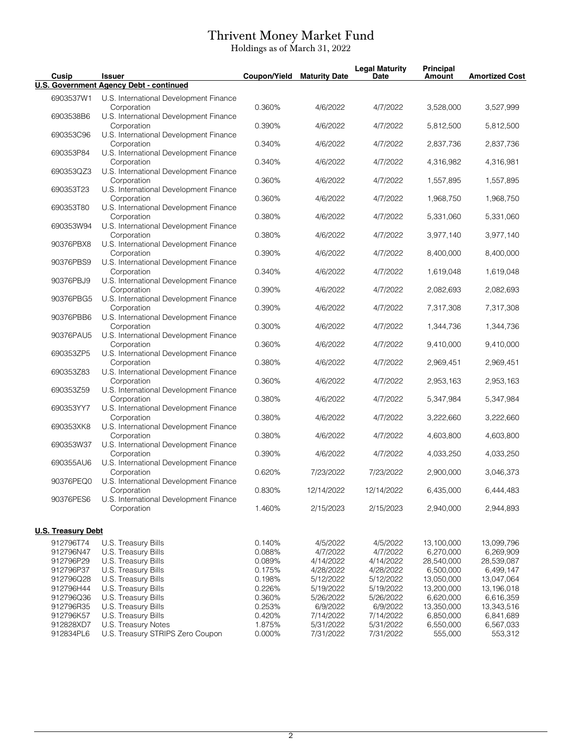## Thrivent Money Market Fund

Holdings as of March 31, 2022

| Cusip                     | <b>Issuer</b>                                         | Coupon/Yield | <b>Maturity Date</b> | <b>Legal Maturity</b><br>Date | <b>Principal</b><br><b>Amount</b> | <b>Amortized Cost</b> |
|---------------------------|-------------------------------------------------------|--------------|----------------------|-------------------------------|-----------------------------------|-----------------------|
|                           | <b>U.S. Government Agency Debt - continued</b>        |              |                      |                               |                                   |                       |
| 6903537W1                 | U.S. International Development Finance<br>Corporation | 0.360%       | 4/6/2022             | 4/7/2022                      | 3,528,000                         | 3,527,999             |
| 6903538B6                 | U.S. International Development Finance<br>Corporation | 0.390%       | 4/6/2022             | 4/7/2022                      | 5,812,500                         | 5,812,500             |
| 690353C96                 | U.S. International Development Finance<br>Corporation | 0.340%       | 4/6/2022             | 4/7/2022                      | 2,837,736                         | 2,837,736             |
| 690353P84                 | U.S. International Development Finance<br>Corporation | 0.340%       | 4/6/2022             | 4/7/2022                      | 4,316,982                         | 4,316,981             |
| 690353QZ3                 | U.S. International Development Finance<br>Corporation | 0.360%       | 4/6/2022             | 4/7/2022                      | 1,557,895                         | 1,557,895             |
| 690353T23                 | U.S. International Development Finance<br>Corporation | 0.360%       | 4/6/2022             | 4/7/2022                      | 1,968,750                         | 1,968,750             |
| 690353T80                 | U.S. International Development Finance<br>Corporation | 0.380%       | 4/6/2022             | 4/7/2022                      | 5,331,060                         | 5,331,060             |
| 690353W94                 | U.S. International Development Finance                |              |                      |                               |                                   |                       |
| 90376PBX8                 | Corporation<br>U.S. International Development Finance | 0.380%       | 4/6/2022             | 4/7/2022                      | 3,977,140                         | 3,977,140             |
| 90376PBS9                 | Corporation<br>U.S. International Development Finance | 0.390%       | 4/6/2022             | 4/7/2022                      | 8,400,000                         | 8,400,000             |
| 90376PBJ9                 | Corporation<br>U.S. International Development Finance | 0.340%       | 4/6/2022             | 4/7/2022                      | 1,619,048                         | 1,619,048             |
| 90376PBG5                 | Corporation<br>U.S. International Development Finance | 0.390%       | 4/6/2022             | 4/7/2022                      | 2,082,693                         | 2,082,693             |
| 90376PBB6                 | Corporation<br>U.S. International Development Finance | 0.390%       | 4/6/2022             | 4/7/2022                      | 7,317,308                         | 7,317,308             |
| 90376PAU5                 | Corporation<br>U.S. International Development Finance | 0.300%       | 4/6/2022             | 4/7/2022                      | 1,344,736                         | 1,344,736             |
| 690353ZP5                 | Corporation<br>U.S. International Development Finance | 0.360%       | 4/6/2022             | 4/7/2022                      | 9,410,000                         | 9,410,000             |
| 690353Z83                 | Corporation<br>U.S. International Development Finance | 0.380%       | 4/6/2022             | 4/7/2022                      | 2,969,451                         | 2,969,451             |
| 690353Z59                 | Corporation<br>U.S. International Development Finance | 0.360%       | 4/6/2022             | 4/7/2022                      | 2,953,163                         | 2,953,163             |
| 690353YY7                 | Corporation<br>U.S. International Development Finance | 0.380%       | 4/6/2022             | 4/7/2022                      | 5,347,984                         | 5,347,984             |
| 690353XK8                 | Corporation<br>U.S. International Development Finance | 0.380%       | 4/6/2022             | 4/7/2022                      | 3,222,660                         | 3,222,660             |
| 690353W37                 | Corporation<br>U.S. International Development Finance | 0.380%       | 4/6/2022             | 4/7/2022                      | 4,603,800                         | 4,603,800             |
| 690355AU6                 | Corporation<br>U.S. International Development Finance | 0.390%       | 4/6/2022             | 4/7/2022                      | 4,033,250                         | 4,033,250             |
|                           | Corporation<br>U.S. International Development Finance | 0.620%       | 7/23/2022            | 7/23/2022                     | 2,900,000                         | 3,046,373             |
| 90376PEQ0                 | Corporation                                           | 0.830%       | 12/14/2022           | 12/14/2022                    | 6,435,000                         | 6,444,483             |
| 90376PES6                 | U.S. International Development Finance<br>Corporation | 1.460%       | 2/15/2023            | 2/15/2023                     | 2,940,000                         | 2,944,893             |
| <b>U.S. Treasury Debt</b> |                                                       |              |                      |                               |                                   |                       |
| 912796T74                 | U.S. Treasury Bills                                   | 0.140%       | 4/5/2022             | 4/5/2022                      | 13,100,000                        | 13,099,796            |
| 912796N47                 | U.S. Treasury Bills                                   | 0.088%       | 4/7/2022             | 4/7/2022                      | 6,270,000                         | 6,269,909             |
| 912796P29                 | U.S. Treasury Bills                                   | 0.089%       | 4/14/2022            | 4/14/2022                     | 28,540,000                        | 28,539,087            |
|                           | U.S. Treasury Bills                                   |              |                      |                               |                                   |                       |
| 912796P37                 |                                                       | 0.175%       | 4/28/2022            | 4/28/2022                     | 6,500,000                         | 6,499,147             |
| 912796Q28                 | U.S. Treasury Bills                                   | 0.198%       | 5/12/2022            | 5/12/2022                     | 13,050,000                        | 13,047,064            |
| 912796H44                 | U.S. Treasury Bills                                   | 0.226%       | 5/19/2022            | 5/19/2022                     | 13,200,000                        | 13,196,018            |
| 912796Q36                 | U.S. Treasury Bills                                   | 0.360%       | 5/26/2022            | 5/26/2022                     | 6,620,000                         | 6,616,359             |
| 912796R35                 | U.S. Treasury Bills                                   | 0.253%       | 6/9/2022             | 6/9/2022                      | 13,350,000                        | 13,343,516            |
| 912796K57                 | U.S. Treasury Bills                                   | 0.420%       | 7/14/2022            | 7/14/2022                     | 6,850,000                         | 6,841,689             |
|                           |                                                       |              |                      |                               |                                   |                       |
| 912828XD7                 | U.S. Treasury Notes                                   | 1.875%       | 5/31/2022            | 5/31/2022                     | 6,550,000                         | 6,567,033             |
| 912834PL6                 | U.S. Treasury STRIPS Zero Coupon                      | 0.000%       | 7/31/2022            | 7/31/2022                     | 555,000                           | 553,312               |